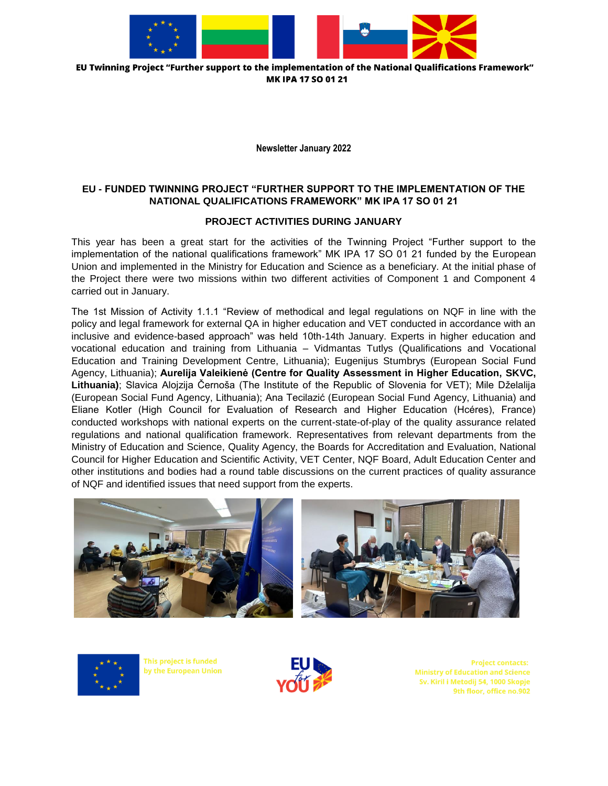

"EU Twinning Project "Further support to the implementation of the National Qualifications Framework MK IPA 17 SO 01 21

**Newsletter January 2022**

## **EU - FUNDED TWINNING PROJECT "FURTHER SUPPORT TO THE IMPLEMENTATION OF THE NATIONAL QUALIFICATIONS FRAMEWORK" MK IPA 17 SO 01 21**

## **PROJECT ACTIVITIES DURING JANUARY**

This year has been a great start for the activities of the Twinning Project "Further support to the implementation of the national qualifications framework" MK IPA 17 SO 01 21 funded by the European Union and implemented in the Ministry for Education and Science as a beneficiary. At the initial phase of the Project there were two missions within two different activities of Component 1 and Component 4 carried out in January.

The 1st Mission of Activity 1.1.1 "Review of methodical and legal regulations on NQF in line with the policy and legal framework for external QA in higher education and VET conducted in accordance with an inclusive and evidence-based approach" was held 10th-14th January. Experts in higher education and vocational education and training from Lithuania – Vidmantas Tutlys (Qualifications and Vocational Education and Training Development Centre, Lithuania); Eugenijus Stumbrys (European Social Fund Agency, Lithuania); **Aurelija Valeikienė (Centre for Quality Assessment in Higher Education, SKVC, Lithuania)**; Slavica Alojzija Černoša (The Institute of the Republic of Slovenia for VET); Mile Dželalija (European Social Fund Agency, Lithuania); Ana Tecilazić (European Social Fund Agency, Lithuania) and Eliane Kotler (High Council for Evaluation of Research and Higher Education (Hcéres), France) conducted workshops with national experts on the current-state-of-play of the quality assurance related regulations and national qualification framework. Representatives from relevant departments from the Ministry of Education and Science, Quality Agency, the Boards for Accreditation and Evaluation, National Council for Higher Education and Scientific Activity, VET Center, NQF Board, Adult Education Center and other institutions and bodies had a round table discussions on the current practices of quality assurance of NQF and identified issues that need support from the experts.





This project is funded by the European Union

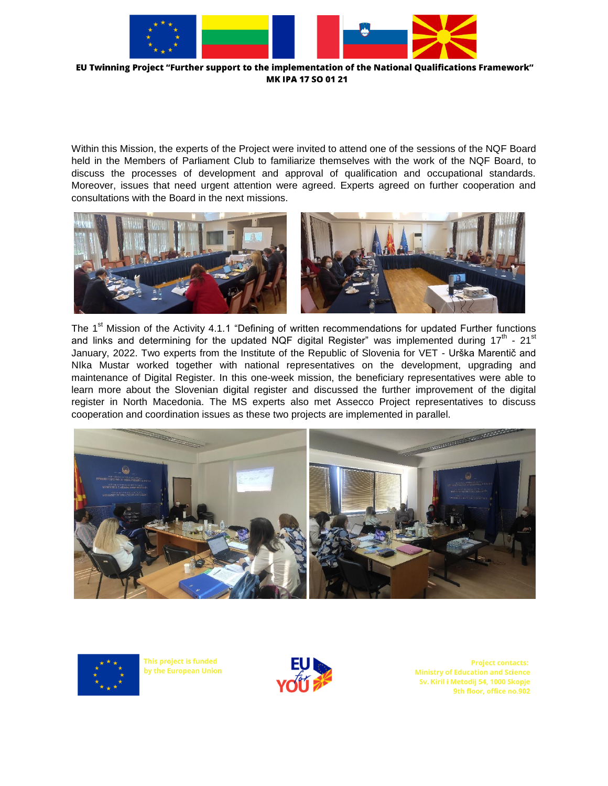

EU Twinning Project "Further support to the implementation of the National Qualifications Framework" MK IPA 17 SO 01 21

Within this Mission, the experts of the Project were invited to attend one of the sessions of the NQF Board held in the Members of Parliament Club to familiarize themselves with the work of the NQF Board, to discuss the processes of development and approval of qualification and occupational standards. Moreover, issues that need urgent attention were agreed. Experts agreed on further cooperation and consultations with the Board in the next missions.



The 1<sup>st</sup> Mission of the Activity 4.1.1 "Defining of written recommendations for updated Further functions and links and determining for the updated NQF digital Register" was implemented during 17<sup>th</sup> - 21<sup>st</sup> January, 2022. Two experts from the Institute of the Republic of Slovenia for VET - Urška Marentič and NIka Mustar worked together with national representatives on the development, upgrading and maintenance of Digital Register. In this one-week mission, the beneficiary representatives were able to learn more about the Slovenian digital register and discussed the further improvement of the digital register in North Macedonia. The MS experts also met Assecco Project representatives to discuss cooperation and coordination issues as these two projects are implemented in parallel.





This project is funded by the European Union

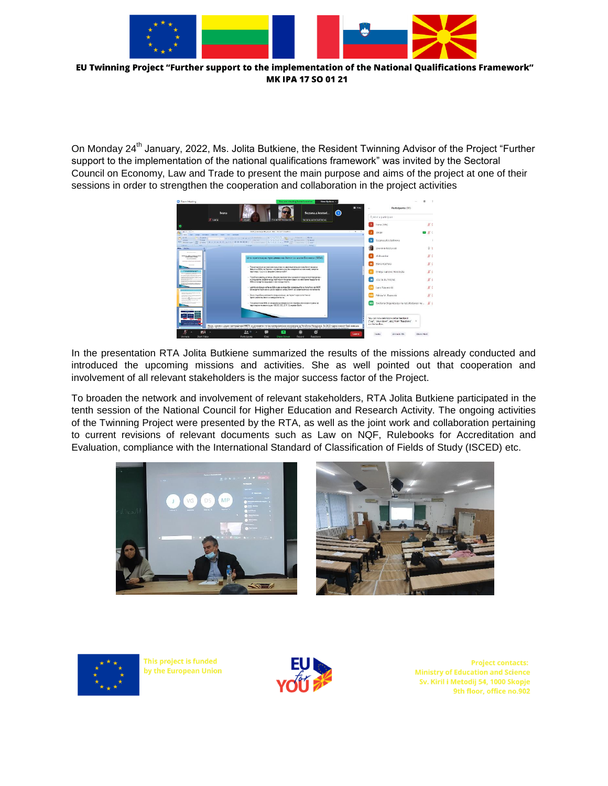

"EU Twinning Project "Further support to the implementation of the National Qualifications Framework MK IPA 17 SO 01 21

On Monday 24<sup>th</sup> January, 2022, Ms. Jolita Butkiene, the Resident Twinning Advisor of the Project "Further support to the implementation of the national qualifications framework" was invited by the Sectoral Council on Economy, Law and Trade to present the main purpose and aims of the project at one of their sessions in order to strengthen the cooperation and collaboration in the project activities



In the presentation RTA Jolita Butkiene summarized the results of the missions already conducted and introduced the upcoming missions and activities. She as well pointed out that cooperation and involvement of all relevant stakeholders is the major success factor of the Project.

To broaden the network and involvement of relevant stakeholders, RTA Jolita Butkiene participated in the tenth session of the National Council for Higher Education and Research Activity. The ongoing activities of the Twinning Project were presented by the RTA, as well as the joint work and collaboration pertaining to current revisions of relevant documents such as Law on NQF, Rulebooks for Accreditation and Evaluation, compliance with the International Standard of Classification of Fields of Study (ISCED) etc.





This project is funded by the European Union